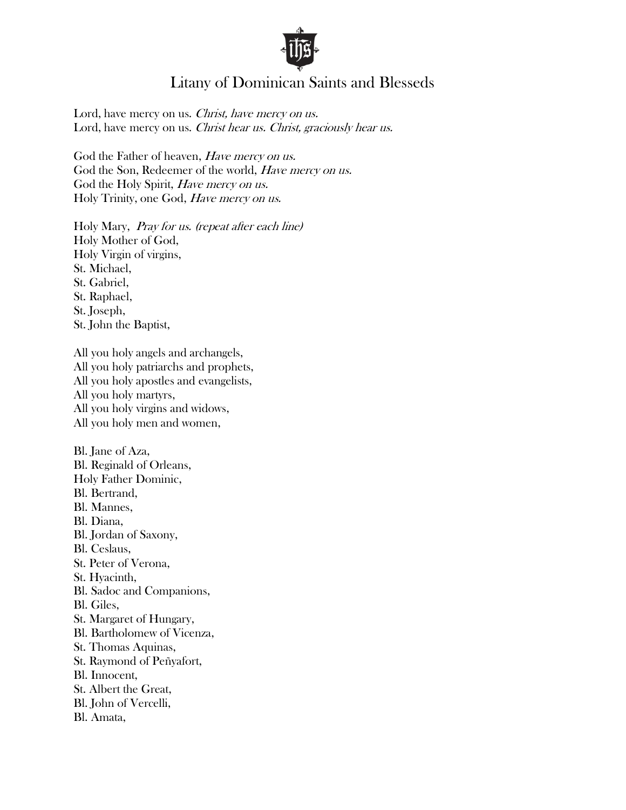

## Litany of Dominican Saints and Blesseds

Lord, have mercy on us. Christ, have mercy on us. Lord, have mercy on us. *Christ hear us. Christ, graciously hear us.* 

God the Father of heaven, Have mercy on us. God the Son, Redeemer of the world, Have mercy on us. God the Holy Spirit, Have mercy on us. Holy Trinity, one God, Have mercy on us.

Holy Mary, Pray for us. (repeat after each line) Holy Mother of God, Holy Virgin of virgins, St. Michael, St. Gabriel, St. Raphael, St. Joseph, St. John the Baptist,

All you holy angels and archangels, All you holy patriarchs and prophets, All you holy apostles and evangelists, All you holy martyrs, All you holy virgins and widows, All you holy men and women,

Bl. Jane of Aza, Bl. Reginald of Orleans, Holy Father Dominic, Bl. Bertrand, Bl. Mannes, Bl. Diana, Bl. Jordan of Saxony, Bl. Ceslaus, St. Peter of Verona, St. Hyacinth, Bl. Sadoc and Companions, Bl. Giles, St. Margaret of Hungary, Bl. Bartholomew of Vicenza, St. Thomas Aquinas, St. Raymond of Peñyafort, Bl. Innocent, St. Albert the Great, Bl. John of Vercelli, Bl. Amata,